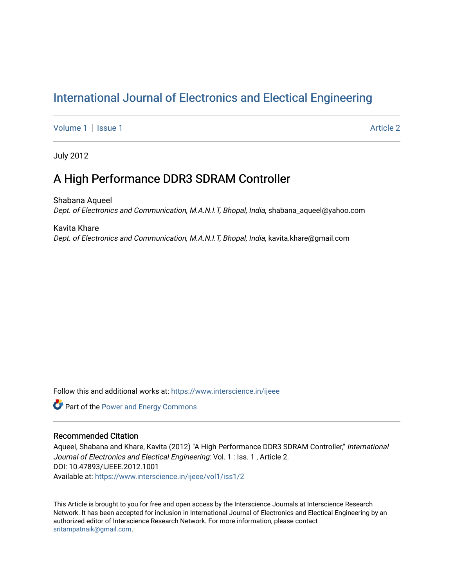# [International Journal of Electronics and Electical Engineering](https://www.interscience.in/ijeee)

[Volume 1](https://www.interscience.in/ijeee/vol1) | [Issue 1](https://www.interscience.in/ijeee/vol1/iss1) Article 2

July 2012

# A High Performance DDR3 SDRAM Controller

Shabana Aqueel Dept. of Electronics and Communication, M.A.N.I.T, Bhopal, India, shabana\_aqueel@yahoo.com

Kavita Khare Dept. of Electronics and Communication, M.A.N.I.T, Bhopal, India, kavita.khare@gmail.com

Follow this and additional works at: [https://www.interscience.in/ijeee](https://www.interscience.in/ijeee?utm_source=www.interscience.in%2Fijeee%2Fvol1%2Fiss1%2F2&utm_medium=PDF&utm_campaign=PDFCoverPages)

**Part of the Power and Energy Commons** 

# Recommended Citation

Aqueel, Shabana and Khare, Kavita (2012) "A High Performance DDR3 SDRAM Controller," International Journal of Electronics and Electical Engineering: Vol. 1 : Iss. 1, Article 2. DOI: 10.47893/IJEEE.2012.1001 Available at: [https://www.interscience.in/ijeee/vol1/iss1/2](https://www.interscience.in/ijeee/vol1/iss1/2?utm_source=www.interscience.in%2Fijeee%2Fvol1%2Fiss1%2F2&utm_medium=PDF&utm_campaign=PDFCoverPages)

This Article is brought to you for free and open access by the Interscience Journals at Interscience Research Network. It has been accepted for inclusion in International Journal of Electronics and Electical Engineering by an authorized editor of Interscience Research Network. For more information, please contact [sritampatnaik@gmail.com](mailto:sritampatnaik@gmail.com).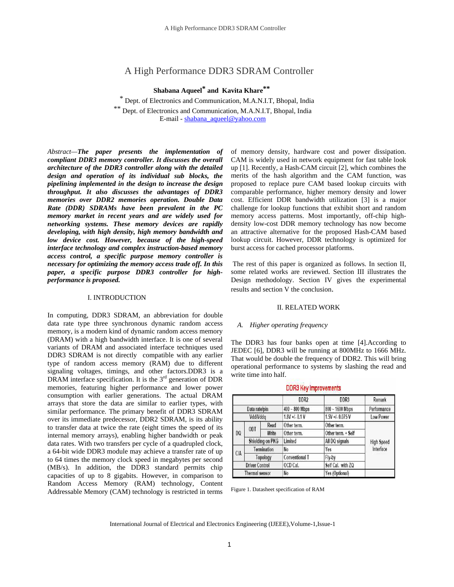# A High Performance DDR3 SDRAM Controller

 **Shabana Aqueel\* and Kavita Khare\*\***

\* Dept. of Electronics and Communication, M.A.N.I.T, Bhopal, India Dept. of Electronics and Communication, M.A.N.I.T, Bhopal, India E-mail - shabana\_aqueel@yahoo.com

*Abstract—The paper presents the implementation of compliant DDR3 memory controller. It discusses the overall architecture of the DDR3 controller along with the detailed design and operation of its individual sub blocks, the pipelining implemented in the design to increase the design throughput. It also discusses the advantages of DDR3 memories over DDR2 memories operation. Double Data Rate (DDR) SDRAMs have been prevalent in the PC memory market in recent years and are widely used for networking systems. These memory devices are rapidly developing, with high density, high memory bandwidth and low device cost. However, because of the high-speed interface technology and complex instruction-based memory access control, a specific purpose memory controller is necessary for optimizing the memory access trade off. In this paper, a specific purpose DDR3 controller for highperformance is proposed.* 

# I. INTRODUCTION

In computing, DDR3 SDRAM, an abbreviation for double data rate type three synchronous dynamic random access memory, is a modern kind of dynamic random access memory (DRAM) with a high bandwidth interface. It is one of several variants of DRAM and associated interface techniques used DDR3 SDRAM is not directly compatible with any earlier type of random access memory (RAM) due to different signaling voltages, timings, and other factors.DDR3 is a DRAM interface specification. It is the 3<sup>rd</sup> generation of DDR memories, featuring higher performance and lower power consumption with earlier generations. The actual DRAM arrays that store the data are similar to earlier types, with similar performance. The primary benefit of DDR3 SDRAM over its immediate predecessor, DDR2 SDRAM, is its ability to transfer data at twice the rate (eight times the speed of its internal memory arrays), enabling higher bandwidth or peak data rates. With two transfers per cycle of a quadrupled clock, a 64-bit wide DDR3 module may achieve a transfer rate of up to 64 times the memory clock speed in megabytes per second (MB/s). In addition, the DDR3 standard permits chip capacities of up to 8 gigabits. However, in comparison to Random Access Memory (RAM) technology, Content Addressable Memory (CAM) technology is restricted in terms of memory density, hardware cost and power dissipation. CAM is widely used in network equipment for fast table look up [1]. Recently, a Hash-CAM circuit [2], which combines the merits of the hash algorithm and the CAM function, was proposed to replace pure CAM based lookup circuits with comparable performance, higher memory density and lower cost. Efficient DDR bandwidth utilization [3] is a major challenge for lookup functions that exhibit short and random memory access patterns. Most importantly, off-chip highdensity low-cost DDR memory technology has now become an attractive alternative for the proposed Hash-CAM based lookup circuit. However, DDR technology is optimized for burst access for cached processor platforms.

 The rest of this paper is organized as follows. In section II, some related works are reviewed. Section III illustrates the Design methodology. Section IV gives the experimental results and section V the conclusion.

## II. RELATED WORK

## *A. Higher operating frequency*

The DDR3 has four banks open at time [4].According to JEDEC [6], DDR3 will be running at 800MHz to 1666 MHz. That would be double the frequency of DDR2. This will bring operational performance to systems by slashing the read and write time into half.

|                       |                  |       | DDR <sub>2</sub>      | DDR3               | Remark                         |  |
|-----------------------|------------------|-------|-----------------------|--------------------|--------------------------------|--|
| Data rate/pin         |                  |       | $400 - 800$ Mbps      | 800~1600 Mbps      | Performance                    |  |
| Vdd/Vddq              |                  |       | $1.8V + 0.1V$         | 1.5V +/- 0.075 V   | Low Power                      |  |
|                       |                  | Read  | Other term.           | Other term.        |                                |  |
| DQ                    | ODT              | Write | Other term.           | Other term. + Self |                                |  |
|                       | Shielding on PKG |       | Limited               | All DQ signals     | <b>High Speed</b><br>Interface |  |
| C/A                   | Termination      |       | No                    | Yes                |                                |  |
|                       | Topology         |       | <b>Conventional T</b> | Fly-by             |                                |  |
| <b>Driver Control</b> |                  |       | OCD Cal.              | Self Cal. with ZQ  |                                |  |
| <b>Thermal sensor</b> |                  |       | No                    | Yes (Optional)     |                                |  |

# **DDR3 Key Improvements**

Figure 1. Datasheet specification of RAM

International Journal of Electrical and Electronics Engineering (IJEEE),Volume-1,Issue-1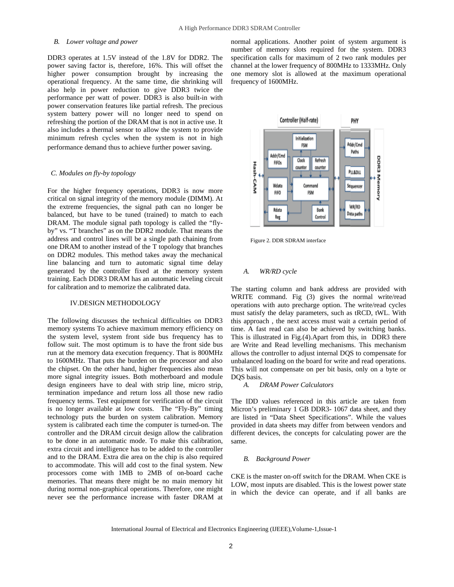## *B. Lower voltage and power*

DDR3 operates at 1.5V instead of the 1.8V for DDR2. The power saving factor is, therefore, 16%. This will offset the higher power consumption brought by increasing the operational frequency. At the same time, die shrinking will also help in power reduction to give DDR3 twice the performance per watt of power. DDR3 is also built-in with power conservation features like partial refresh. The precious system battery power will no longer need to spend on refreshing the portion of the DRAM that is not in active use. It also includes a thermal sensor to allow the system to provide minimum refresh cycles when the system is not in high performance demand thus to achieve further power saving.

#### *C. Modules on fly-by topology*

For the higher frequency operations, DDR3 is now more critical on signal integrity of the memory module (DIMM). At the extreme frequencies, the signal path can no longer be balanced, but have to be tuned (trained) to match to each DRAM. The module signal path topology is called the "flyby" vs. "T branches" as on the DDR2 module. That means the address and control lines will be a single path chaining from one DRAM to another instead of the T topology that branches on DDR2 modules. This method takes away the mechanical line balancing and turn to automatic signal time delay generated by the controller fixed at the memory system training. Each DDR3 DRAM has an automatic leveling circuit for calibration and to memorize the calibrated data.

# IV.DESIGN METHODOLOGY

The following discusses the technical difficulties on DDR3 memory systems To achieve maximum memory efficiency on the system level, system front side bus frequency has to follow suit. The most optimum is to have the front side bus run at the memory data execution frequency. That is 800MHz to 1600MHz. That puts the burden on the processor and also the chipset. On the other hand, higher frequencies also mean more signal integrity issues. Both motherboard and module design engineers have to deal with strip line, micro strip, termination impedance and return loss all those new radio frequency terms. Test equipment for verification of the circuit is no longer available at low costs. The "Fly-By" timing technology puts the burden on system calibration. Memory system is calibrated each time the computer is turned-on. The controller and the DRAM circuit design allow the calibration to be done in an automatic mode. To make this calibration, extra circuit and intelligence has to be added to the controller and to the DRAM. Extra die area on the chip is also required to accommodate. This will add cost to the final system. New processors come with 1MB to 2MB of on-board cache memories. That means there might be no main memory hit during normal non-graphical operations. Therefore, one might never see the performance increase with faster DRAM at

normal applications. Another point of system argument is number of memory slots required for the system. DDR3 specification calls for maximum of 2 two rank modules per channel at the lower frequency of 800MHz to 1333MHz. Only one memory slot is allowed at the maximum operational frequency of 1600MHz.



Figure 2. DDR SDRAM interface

#### *A. WR/RD cycle*

The starting column and bank address are provided with WRITE command. Fig (3) gives the normal write/read operations with auto precharge option. The write/read cycles must satisfy the delay parameters, such as tRCD, tWL. With this approach , the next access must wait a certain period of time. A fast read can also be achieved by switching banks. This is illustrated in Fig.(4).Apart from this, in DDR3 there are Write and Read levelling mechanisms. This mechanism allows the controller to adjust internal DQS to compensate for unbalanced loading on the board for write and read operations. This will not compensate on per bit basis, only on a byte or DQS basis.

#### *A. DRAM Power Calculators*

The IDD values referenced in this article are taken from Micron's preliminary 1 GB DDR3- 1067 data sheet, and they are listed in "Data Sheet Specifications". While the values provided in data sheets may differ from between vendors and different devices, the concepts for calculating power are the same.

#### *B. Background Power*

CKE is the master on-off switch for the DRAM. When CKE is LOW, most inputs are disabled. This is the lowest power state in which the device can operate, and if all banks are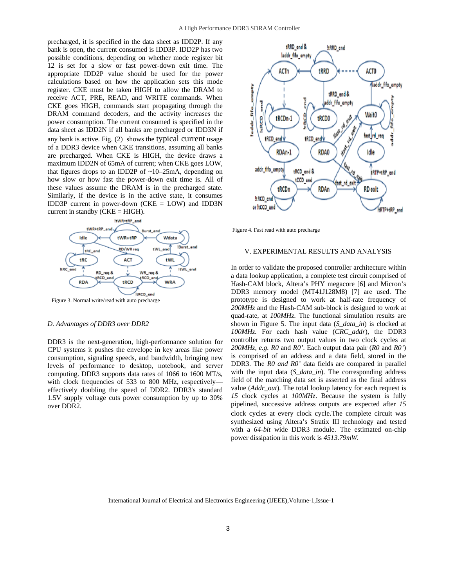precharged, it is specified in the data sheet as IDD2P. If any bank is open, the current consumed is IDD3P. IDD2P has two possible conditions, depending on whether mode register bit 12 is set for a slow or fast power-down exit time. The appropriate IDD2P value should be used for the power calculations based on how the application sets this mode register. CKE must be taken HIGH to allow the DRAM to receive ACT, PRE, READ, and WRITE commands. When CKE goes HIGH, commands start propagating through the DRAM command decoders, and the activity increases the power consumption. The current consumed is specified in the data sheet as IDD2N if all banks are precharged or IDD3N if any bank is active. Fig. (2) shows the typical current usage of a DDR3 device when CKE transitions, assuming all banks are precharged. When CKE is HIGH, the device draws a maximum IDD2N of 65mA of current; when CKE goes LOW, that figures drops to an IDD2P of ~10–25mA, depending on how slow or how fast the power-down exit time is. All of these values assume the DRAM is in the precharged state. Similarly, if the device is in the active state, it consumes IDD3P current in power-down ( $CKE = LOW$ ) and IDD3N current in standby ( $CKE = HIGH$ ).



Figure 3. Normal write/read with auto precharge

## *D. Advantages of DDR3 over DDR2*

DDR3 is the next-generation, high-performance solution for CPU systems it pushes the envelope in key areas like power consumption, signaling speeds, and bandwidth, bringing new levels of performance to desktop, notebook, and server computing. DDR3 supports data rates of 1066 to 1600 MT/s, with clock frequencies of 533 to 800 MHz, respectively effectively doubling the speed of DDR2. DDR3's standard 1.5V supply voltage cuts power consumption by up to 30% over DDR2.



Figure 4. Fast read with auto precharge

# V. EXPERIMENTAL RESULTS AND ANALYSIS

In order to validate the proposed controller architecture within a data lookup application, a complete test circuit comprised of Hash-CAM block, Altera's PHY megacore [6] and Micron's DDR3 memory model (MT41J128M8) [7] are used. The prototype is designed to work at half-rate frequency of *200MHz* and the Hash-CAM sub-block is designed to work at quad-rate, at *100MHz*. The functional simulation results are shown in Figure 5. The input data (*S\_data\_in*) is clocked at *100MHz.* For each hash value (*CRC\_addr*), the DDR3 controller returns two output values in two clock cycles at *200MHz, e.g. R0* and *R0'*. Each output data pair (*R0* and *R0'*) is comprised of an address and a data field, stored in the DDR3. The *R0 and R0'* data fields are compared in parallel with the input data (*S* data in). The corresponding address field of the matching data set is asserted as the final address value (*Addr\_out*). The total lookup latency for each request is *15* clock cycles at *100MHz*. Because the system is fully pipelined, successive address outputs are expected after *15*  clock cycles at every clock cycle.The complete circuit was synthesized using Altera's Stratix III technology and tested with a *64-bit* wide DDR3 module. The estimated on-chip power dissipation in this work is *4513.79mW.*

International Journal of Electrical and Electronics Engineering (IJEEE),Volume-1,Issue-1